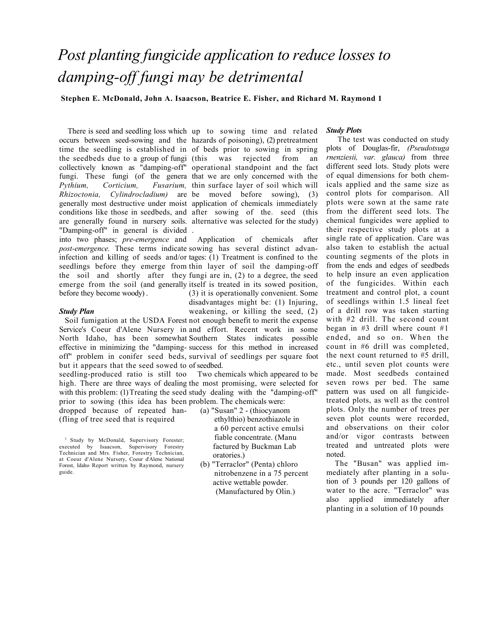# *Post planting fungicide application to reduce losses to damping-off fungi may be detrimental*

**Stephen E. McDonald, John A. Isaacson, Beatrice E. Fisher, and Richard M. Raymond 1** 

the seedbeds due to a group of fungi *Pythium, Corticium,* "Damping-off" in general is divided . into two phases; *pre-emergence* and

before they become woody) .

### *Study Plan*

Soil fumigation at the USDA Forest not enough benefit to merit the expense Service's Coeur d'Alene Nursery in and effort. Recent work in some North Idaho, has been somewhat Southern States indicates possible effective in minimizing the "damping-success for this method in increased off" problem in conifer seed beds, survival of seedlings per square foot but it appears that the seed sowed to of seedbed. weakening, or killing the seed, (2)

seedling-produced ratio is still too high. There are three ways of dealing the most promising, were selected for with this problem: (1) Treating the seed study dealing with the "damping-off" prior to sowing (this idea has been problem. The chemicals were: Two chemicals which appeared to be

dropped because of repeated han- (fling of tree seed that is required

There is seed and seedling loss which up to sowing time and related occurs between seed-sowing and the hazards of poisoning), (2) pretreatment time the seedling is established in of beds prior to sowing in spring collectively known as "damping-off" operational standpoint and the fact fungi. These fungi (of the genera that we are only concerned with the *Rhizoctonia, Cylindrocladium)* are be moved before sowing), (3) generally most destructive under moist application of chemicals immediately conditions like those in seedbeds, and after sowing of the. seed (this are generally found in nursery soils. alternative was selected for the study) rejected from an Fusarium, thin surface layer of soil which will

*post-emergence.* These terms indicate sowing has several distinct advaninfection and killing of seeds and/or tages: (1) Treatment is confined to the seedlings before they emerge from thin layer of soil the damping-off the soil and shortly after they fungi are in, (2) to a degree, the seed emerge from the soil (and generally itself is treated in its sowed position, Application of chemicals after (3) it is operationally convenient. Some

disadvantages might be: (1) Injuring,

(a) "Susan" 2 - (thiocyanom

- ethylthio) benzothiazole in a 60 percent active emulsi fiable concentrate. (Manu factured by Buckman Lab oratories.)
- (b) "Terraclor" (Penta) chloro nitrobenzene in a 75 percent active wettable powder. (Manufactured by Olin.)

## *Study Plots*

The test was conducted on study plots of Douglas-fir, *(Pseudotsuga rnenziesii, var. glauca)* from three different seed lots. Study plots were of equal dimensions for both chemicals applied and the same size as control plots for comparison. All plots were sown at the same rate from the different seed lots. The chemical fungicides were applied to their respective study plots at a single rate of application. Care was also taken to establish the actual counting segments of the plots in from the ends and edges of seedbeds to help insure an even application of the fungicides. Within each treatment and control plot, a count of seedlings within 1.5 lineal feet of a drill row was taken starting with #2 drill. The second count began in  $#3$  drill where count  $#1$ ended, and so on. When the count in #6 drill was completed, the next count returned to #5 drill, etc., until seven plot counts were made. Most seedbeds contained seven rows per bed. The same pattern was used on all fungicidetreated plots, as well as the control plots. Only the number of trees per seven plot counts were recorded, and observations on their color and/or vigor contrasts between treated and untreated plots were noted.

The "Busan" was applied immediately after planting in a solution of 3 pounds per 120 gallons of water to the acre. "Terraclor" was also applied immediately after planting in a solution of 10 pounds

<sup>&</sup>lt;sup>1</sup> Study by McDonald, Supervisory Forester; executed by Isaacson, Supervisory Forestry Technician and Mrs. Fisher, Forestry Technician, at Coeur d'Alene Nursery, Coeur d'Alene National Forest, Idaho Report written by Raymond, nursery guide.